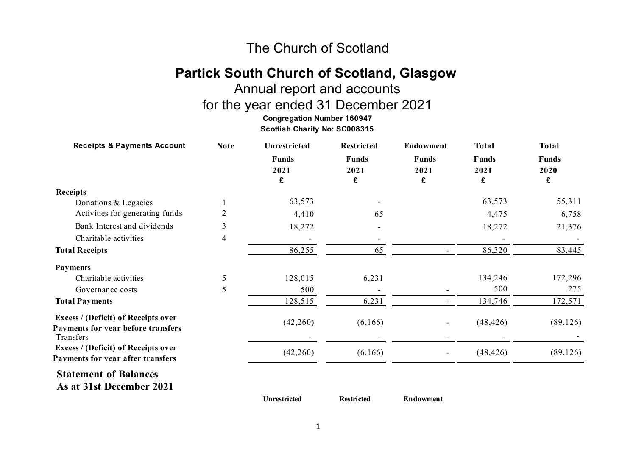## The Church of Scotland

# **Partick South Church of Scotland, Glasgow**

# Annual report and accounts

# for the year ended 31 December 2021

**Congregation Number 160947 Scottish Charity No: SC008315**

| <b>Receipts &amp; Payments Account</b>                                          | <b>Note</b> | <b>Unrestricted</b> | <b>Restricted</b> | <b>Endowment</b> | <b>Total</b> | <b>Total</b> |
|---------------------------------------------------------------------------------|-------------|---------------------|-------------------|------------------|--------------|--------------|
|                                                                                 |             | <b>Funds</b>        | <b>Funds</b>      | <b>Funds</b>     | <b>Funds</b> | <b>Funds</b> |
|                                                                                 |             | 2021                | 2021              | 2021             | 2021         | 2020         |
|                                                                                 |             | £                   | £                 | £                | £            | £            |
| <b>Receipts</b>                                                                 |             |                     |                   |                  |              |              |
| Donations & Legacies                                                            |             | 63,573              |                   |                  | 63,573       | 55,311       |
| Activities for generating funds                                                 | 2           | 4,410               | 65                |                  | 4,475        | 6,758        |
| Bank Interest and dividends                                                     | 3           | 18,272              |                   |                  | 18,272       | 21,376       |
| Charitable activities                                                           | 4           |                     |                   |                  |              |              |
| <b>Total Receipts</b>                                                           |             | 86,255              | 65                |                  | 86,320       | 83,445       |
| <b>Payments</b>                                                                 |             |                     |                   |                  |              |              |
| Charitable activities                                                           | 5           | 128,015             | 6,231             |                  | 134,246      | 172,296      |
| Governance costs                                                                | 5           | 500                 |                   | $\blacksquare$   | 500          | 275          |
| <b>Total Payments</b>                                                           |             | 128,515             | 6,231             |                  | 134,746      | 172,571      |
| <b>Excess / (Deficit) of Receipts over</b>                                      |             | (42,260)            | (6,166)           |                  | (48, 426)    | (89, 126)    |
| <b>Payments for year before transfers</b><br>Transfers                          |             |                     |                   |                  |              |              |
| <b>Excess / (Deficit) of Receipts over</b><br>Payments for year after transfers |             | (42,260)            | (6,166)           |                  | (48, 426)    | (89, 126)    |
| <b>Statement of Balances</b><br>As at 31st December 2021                        |             |                     |                   |                  |              |              |

**Unrestricted Restricted Endowment**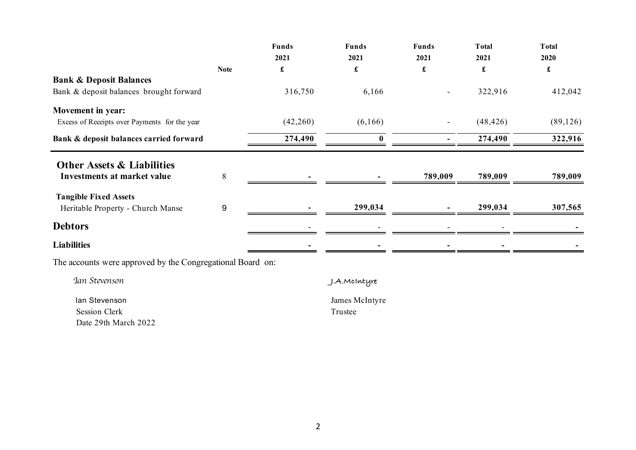|                                                                      |             | <b>Funds</b><br>2021 | <b>Funds</b><br>2021 | <b>Funds</b><br>2021 | <b>Total</b><br>2021 | <b>Total</b><br>2020 |
|----------------------------------------------------------------------|-------------|----------------------|----------------------|----------------------|----------------------|----------------------|
|                                                                      | <b>Note</b> | £                    | $\pmb{\mathfrak{L}}$ | $\pmb{\mathfrak{L}}$ | $\mathbf f$          | $\pmb{\mathfrak{L}}$ |
| <b>Bank &amp; Deposit Balances</b>                                   |             |                      |                      |                      |                      |                      |
| Bank & deposit balances brought forward                              |             | 316,750              | 6,166                |                      | 322,916              | 412,042              |
| Movement in year:                                                    |             |                      |                      |                      |                      |                      |
| Excess of Receipts over Payments for the year                        |             | (42,260)             | (6,166)              |                      | (48, 426)            | (89, 126)            |
| Bank & deposit balances carried forward                              |             | 274,490              | $\mathbf{0}$         |                      | 274,490              | 322,916              |
| <b>Other Assets &amp; Liabilities</b><br>Investments at market value | 8           |                      |                      | 789,009              | 789,009              | 789,009              |
| <b>Tangible Fixed Assets</b><br>Heritable Property - Church Manse    | 9           |                      | 299,034              |                      | 299,034              | 307,565              |
| <b>Debtors</b>                                                       |             |                      |                      |                      |                      |                      |
| <b>Liabilities</b>                                                   |             |                      |                      |                      |                      |                      |
| The accounts were approved by the Congregational Board on:           |             |                      |                      |                      |                      |                      |
| Ian Stevenson                                                        |             |                      | J.A.McIntyre         |                      |                      |                      |
| lan Stevenson                                                        |             |                      | James McIntyre       |                      |                      |                      |
| <b>Session Clerk</b>                                                 |             |                      | Trustee              |                      |                      |                      |
| Date 29th March 2022                                                 |             |                      |                      |                      |                      |                      |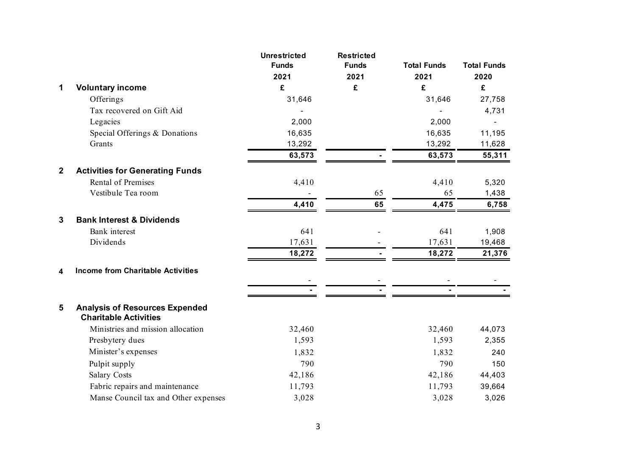|              |                                                                       | <b>Unrestricted</b><br><b>Funds</b> | <b>Restricted</b><br><b>Funds</b> | <b>Total Funds</b> | <b>Total Funds</b> |
|--------------|-----------------------------------------------------------------------|-------------------------------------|-----------------------------------|--------------------|--------------------|
|              |                                                                       | 2021                                | 2021                              | 2021               | 2020               |
| 1            | <b>Voluntary income</b>                                               | £                                   | £                                 | £                  | £                  |
|              | Offerings                                                             | 31,646                              |                                   | 31,646             | 27,758             |
|              | Tax recovered on Gift Aid                                             |                                     |                                   |                    | 4,731              |
|              | Legacies                                                              | 2,000                               |                                   | 2,000              |                    |
|              | Special Offerings & Donations                                         | 16,635                              |                                   | 16,635             | 11,195             |
|              | Grants                                                                | 13,292                              |                                   | 13,292             | 11,628             |
|              |                                                                       | 63,573                              |                                   | 63,573             | 55,311             |
| $\mathbf{2}$ | <b>Activities for Generating Funds</b>                                |                                     |                                   |                    |                    |
|              | <b>Rental of Premises</b>                                             | 4,410                               |                                   | 4,410              | 5,320              |
|              | Vestibule Tea room                                                    |                                     | 65                                | 65                 | 1,438              |
|              |                                                                       | 4,410                               | 65                                | 4,475              | 6,758              |
| $\mathbf{3}$ | <b>Bank Interest &amp; Dividends</b>                                  |                                     |                                   |                    |                    |
|              | Bank interest                                                         | 641                                 |                                   | 641                | 1,908              |
|              | Dividends                                                             | 17,631                              |                                   | 17,631             | 19,468             |
|              |                                                                       | 18,272                              |                                   | 18,272             | 21,376             |
| 4            | <b>Income from Charitable Activities</b>                              |                                     |                                   |                    |                    |
|              |                                                                       |                                     |                                   |                    |                    |
|              |                                                                       |                                     |                                   |                    |                    |
| 5            | <b>Analysis of Resources Expended</b><br><b>Charitable Activities</b> |                                     |                                   |                    |                    |
|              | Ministries and mission allocation                                     | 32,460                              |                                   | 32,460             | 44,073             |
|              | Presbytery dues                                                       | 1,593                               |                                   | 1,593              | 2,355              |
|              | Minister's expenses                                                   | 1,832                               |                                   | 1,832              | 240                |
|              | Pulpit supply                                                         | 790                                 |                                   | 790                | 150                |
|              | <b>Salary Costs</b>                                                   | 42,186                              |                                   | 42,186             | 44,403             |
|              | Fabric repairs and maintenance                                        | 11,793                              |                                   | 11,793             | 39,664             |
|              | Manse Council tax and Other expenses                                  | 3,028                               |                                   | 3,028              | 3,026              |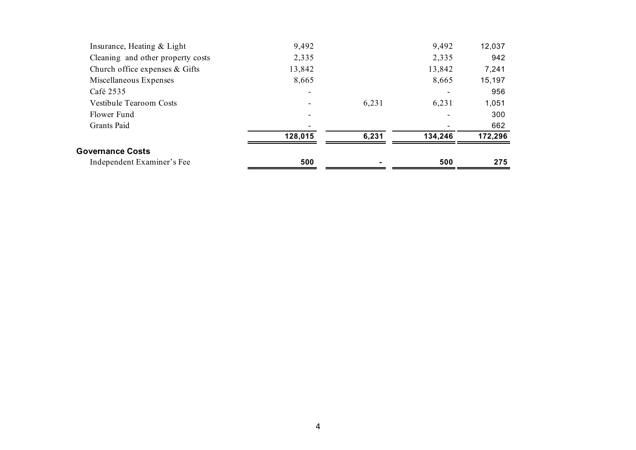| Independent Examiner's Fee        | 500     |       | 500     | 275     |
|-----------------------------------|---------|-------|---------|---------|
| <b>Governance Costs</b>           |         |       |         |         |
|                                   | 128,015 | 6,231 | 134,246 | 172,296 |
| <b>Grants Paid</b>                |         |       |         | 662     |
| Flower Fund                       |         |       |         | 300     |
| Vestibule Tearoom Costs           |         | 6,231 | 6,231   | 1,051   |
| Café 2535                         |         |       |         | 956     |
| Miscellaneous Expenses            | 8,665   |       | 8,665   | 15,197  |
| Church office expenses $& Gifts$  | 13,842  |       | 13,842  | 7,241   |
| Cleaning and other property costs | 2,335   |       | 2,335   | 942     |
| Insurance, Heating & Light        | 9,492   |       | 9,492   | 12,037  |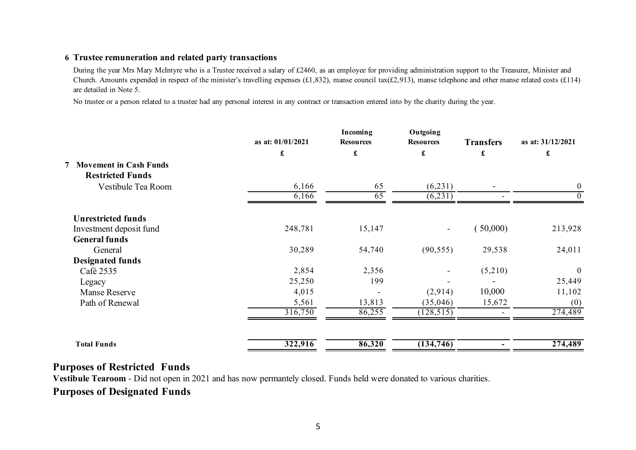#### **6 Trustee remuneration and related party transactions**

During the year Mrs Mary McIntyre who is a Trustee received a salary of £2460, as an employee for providing administration support to the Treasurer, Minister and Church. Amounts expended in respect of the minister's travelling expenses  $(\text{\textsterling}1,832)$ , manse council tax $(\text{\textsterling}2,913)$ , manse telephone and other manse related costs  $(\text{\textsterling}114)$ are detailed in Note 5.

No trustee or a person related to a trustee had any personal interest in any contract or transaction entered into by the charity during the year.

|                                    | as at: 01/01/2021    | Incoming<br><b>Resources</b> | Outgoing<br><b>Resources</b> | <b>Transfers</b>     | as at: 31/12/2021  |
|------------------------------------|----------------------|------------------------------|------------------------------|----------------------|--------------------|
|                                    | $\pmb{\mathfrak{L}}$ | $\pmb{\mathbf{f}}$           | $\pmb{\mathfrak{L}}$         | $\pmb{\mathfrak{L}}$ | $\pmb{\mathbf{f}}$ |
| <b>Movement in Cash Funds</b><br>7 |                      |                              |                              |                      |                    |
| <b>Restricted Funds</b>            |                      |                              |                              |                      |                    |
| Vestibule Tea Room                 | 6,166                | 65                           | (6,231)                      |                      | $\overline{0}$     |
|                                    | 6,166                | 65                           | (6, 231)                     |                      | $\theta$           |
| <b>Unrestricted funds</b>          |                      |                              |                              |                      |                    |
| Investment deposit fund            | 248,781              | 15,147                       |                              | 50,000               | 213,928            |
| <b>General funds</b>               |                      |                              |                              |                      |                    |
| General                            | 30,289               | 54,740                       | (90, 555)                    | 29,538               | 24,011             |
| Designated funds                   |                      |                              |                              |                      |                    |
| Café 2535                          | 2,854                | 2,356                        |                              | (5,210)              | $\boldsymbol{0}$   |
| Legacy                             | 25,250               | 199                          |                              |                      | 25,449             |
| Manse Reserve                      | 4,015                |                              | (2,914)                      | 10,000               | 11,102             |
| Path of Renewal                    | 5,561                | 13,813                       | (35,046)                     | 15,672               | (0)                |
|                                    | 316,750              | 86,255                       | (128, 515)                   |                      | 274,489            |
| <b>Total Funds</b>                 | 322,916              | 86,320                       | $\overline{(134,746)}$       |                      | 274,489            |

#### **Purposes of Restricted Funds**

**Vestibule Tearoom** - Did not open in 2021 and has now permantely closed. Funds held were donated to various charities.

#### **Purposes of Designated Funds**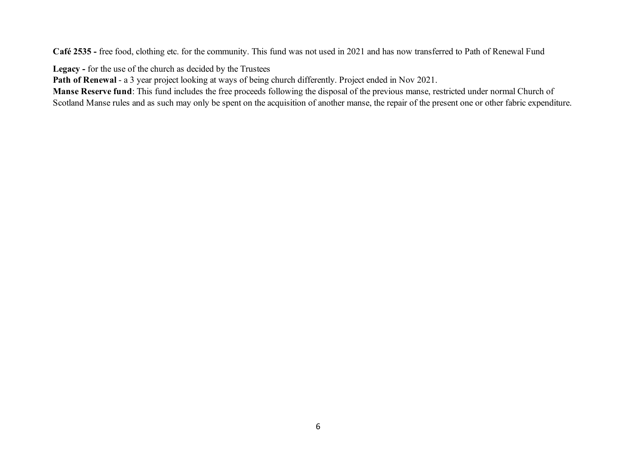**Café 2535 -** free food, clothing etc. for the community. This fund was not used in 2021 and has now transferred to Path of Renewal Fund

**Legacy -** for the use of the church as decided by the Trustees

**Path of Renewal** - a 3 year project looking at ways of being church differently. Project ended in Nov 2021.

**Manse Reserve fund**: This fund includes the free proceeds following the disposal of the previous manse, restricted under normal Church of Scotland Manse rules and as such may only be spent on the acquisition of another manse, the repair of the present one or other fabric expenditure.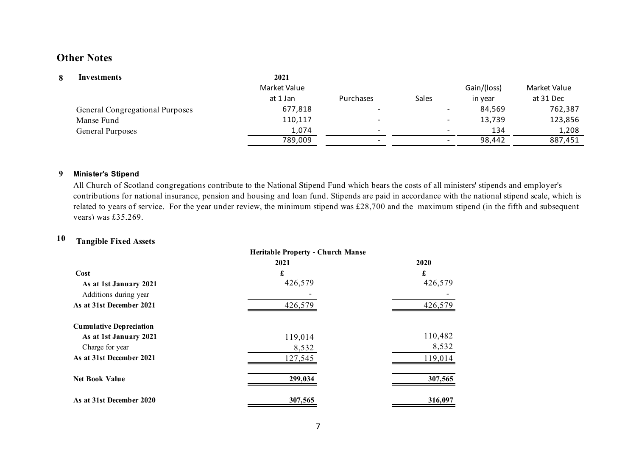#### **Other Notes**

| Investments                     | 2021         |                          |                          |             |              |
|---------------------------------|--------------|--------------------------|--------------------------|-------------|--------------|
|                                 | Market Value |                          |                          | Gain/(loss) | Market Value |
|                                 | at 1 Jan     | Purchases                | Sales                    | in year     | at 31 Dec    |
| General Congregational Purposes | 677,818      | $\overline{\phantom{0}}$ | $\overline{\phantom{0}}$ | 84,569      | 762,387      |
| Manse Fund                      | 110,117      | $\overline{\phantom{0}}$ | $\overline{\phantom{0}}$ | 13,739      | 123,856      |
| General Purposes                | 1,074        |                          | $\overline{\phantom{0}}$ | 134         | 1,208        |
|                                 | 789,009      |                          |                          | 98,442      | 887,451      |

#### **9 Minister's Stipend**

All Church of Scotland congregations contribute to the National Stipend Fund which bears the costs of all ministers' stipends and employer's contributions for national insurance, pension and housing and loan fund. Stipends are paid in accordance with the national stipend scale, which is related to years of service. For the year under review, the minimum stipend was £28,700 and the maximum stipend (in the fifth and subsequent years) was £35,269.

### **10 Tangible Fixed Assets**

|                                | <b>Heritable Property - Church Manse</b> |         |  |
|--------------------------------|------------------------------------------|---------|--|
|                                | 2021                                     | 2020    |  |
| Cost                           | £                                        | £       |  |
| As at 1st January 2021         | 426,579                                  | 426,579 |  |
| Additions during year          |                                          |         |  |
| As at 31st December 2021       | 426,579                                  | 426,579 |  |
| <b>Cumulative Depreciation</b> |                                          |         |  |
| As at 1st January 2021         | 119,014                                  | 110,482 |  |
| Charge for year                | 8,532                                    | 8,532   |  |
| As at 31st December 2021       | 127,545                                  | 119,014 |  |
| <b>Net Book Value</b>          | 299,034                                  | 307,565 |  |
| As at 31st December 2020       | 307,565                                  | 316,097 |  |